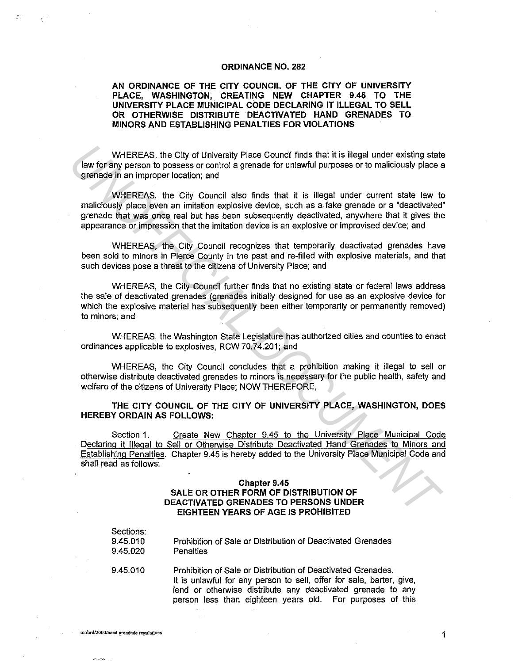## **ORDINANCE NO. 282**

## **AN ORDINANCE OF THE CITY COUNCIL OF THE CITY OF UNIVERSITY PLACE, WASHINGTON,. CREATING NEW CHAPTER 9.45 TO THE UNIVERSITY PLACE MUNICIPAL CODE DECLARING IT ILLEGAL TO SELL OR OTHERWISE DISTRIBUTE DEACTIVATED HAND GRENADES TO MINORS AND ESTABLISHING PENAL TIES FOR VIOLATIONS**

WHEREAS, the City of University Place Council finds that it is illegal under existing state law for any person to possess or control a grenade for unlawful purposes or to maliciously place a grenade in an improper location; and

WHEREAS, the City Council also finds that it is illegal under current state law to maliciously place even an imitation explosive device, such as a fake grenade or a "deactivated" grenade that was once real but has been subsequently deactivated, anywhere that it gives the appearance or impression that the imitation device is an explosive or improvised device; and WHEREAS, the City of University Place Council finds that it is illegal under existing state<br>or erinds in presenct to possess or control a grenade for unlawili purposes or to maliciously place a<br>grenade in an improper foces

WHEREAS, the City Council recognizes that temporarily deactivated grenades have been sold to minors in Pierce County in the past and re-filled with explosive materials, and that such devices pose a threat to the citizens of University Place; and

WHEREAS, the City Council further finds that no existing state or federal laws address the sale of deactivated grenades (grenades initially designed for use as an explosive device for which the explosive material has subsequently been either temporarily or permanently removed) to minors; and

WHEREAS, the Washington State Legislature has authorized cities and counties to enact ordinances applicable to explosives, RCW 70.74.201; and

WHEREAS, the City Council concludes that a prohibition making it illegal to sell or otherwise distribute deactivated grenades to minors is necessary for the public health, safety and welfare of the citizens of University Place; NOW THEREFORE,

**THE CITY COUNCIL OF THE CITY OF UNIVERSITY PLACE, WASHINGTON, DOES HEREBY ORDAIN AS FOLLOWS:** 

Section 1. Create New Chapter 9.45 to the University Place Municipal Code Declaring it Illegal to Sell or Otherwise Distribute Deactivated Hand Grenades to Minors and Establishing Penalties. Chapter 9.45 is hereby added to the University Place Municipal Code and shall read as follows:

## **Chapter 9.45 SALE OR OTHER FORM OF DISTRIBUTION OF DEACTIVATED GRENADES TO PERSONS UNDER EIGHTEEN YEARS OF AGE JS PROHIBITED**

| Sections:<br>9.45.010<br>9.45.020 | Prohibition of Sale or Distribution of Deactivated Grenades<br><b>Penalties</b> |
|-----------------------------------|---------------------------------------------------------------------------------|
| 9.45.010                          | Prohibition of Sale or Distribution of Deactivated Grenades.                    |

It is unlawful for any person to sell, offer for sale, barter, give, lend or otherwise distribute any deactivated grenade to any person less than eighteen years old. For purposes of this